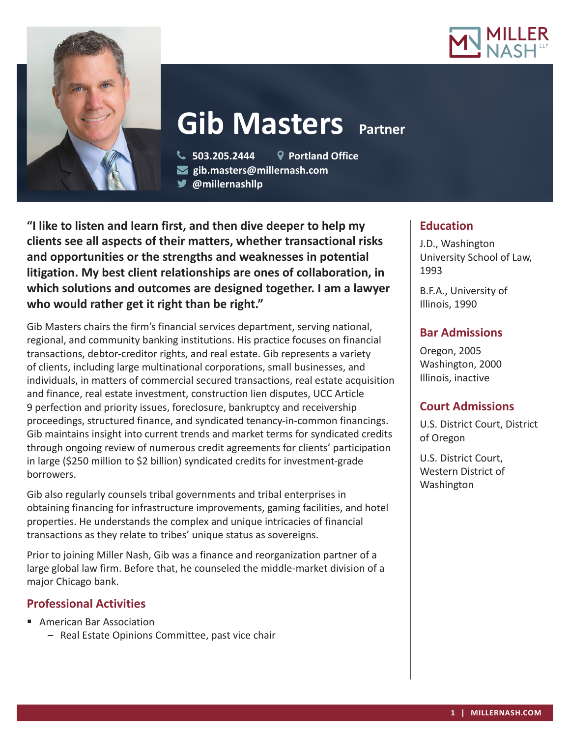



# **Gib Masters Partner**

 **503.205.2444 Portland Office gib.masters@millernash.com** 

**@millernashllp** 

**"I like to listen and learn first, and then dive deeper to help my clients see all aspects of their matters, whether transactional risks and opportunities or the strengths and weaknesses in potential litigation. My best client relationships are ones of collaboration, in which solutions and outcomes are designed together. I am a lawyer who would rather get it right than be right."**

Gib Masters chairs the firm's financial services department, serving national, regional, and community banking institutions. His practice focuses on financial transactions, debtor-creditor rights, and real estate. Gib represents a variety of clients, including large multinational corporations, small businesses, and individuals, in matters of commercial secured transactions, real estate acquisition and finance, real estate investment, construction lien disputes, UCC Article 9 perfection and priority issues, foreclosure, bankruptcy and receivership proceedings, structured finance, and syndicated tenancy-in-common financings. Gib maintains insight into current trends and market terms for syndicated credits through ongoing review of numerous credit agreements for clients' participation in large (\$250 million to \$2 billion) syndicated credits for investment-grade borrowers.

Gib also regularly counsels tribal governments and tribal enterprises in obtaining financing for infrastructure improvements, gaming facilities, and hotel properties. He understands the complex and unique intricacies of financial transactions as they relate to tribes' unique status as sovereigns.

Prior to joining Miller Nash, Gib was a finance and reorganization partner of a large global law firm. Before that, he counseled the middle-market division of a major Chicago bank.

## **Professional Activities**

- American Bar Association
	- Real Estate Opinions Committee, past vice chair

# **Education**

J.D., Washington University School of Law, 1993

B.F.A., University of Illinois, 1990

# **Bar Admissions**

Oregon, 2005 Washington, 2000 Illinois, inactive

## **Court Admissions**

U.S. District Court, District of Oregon

U.S. District Court, Western District of Washington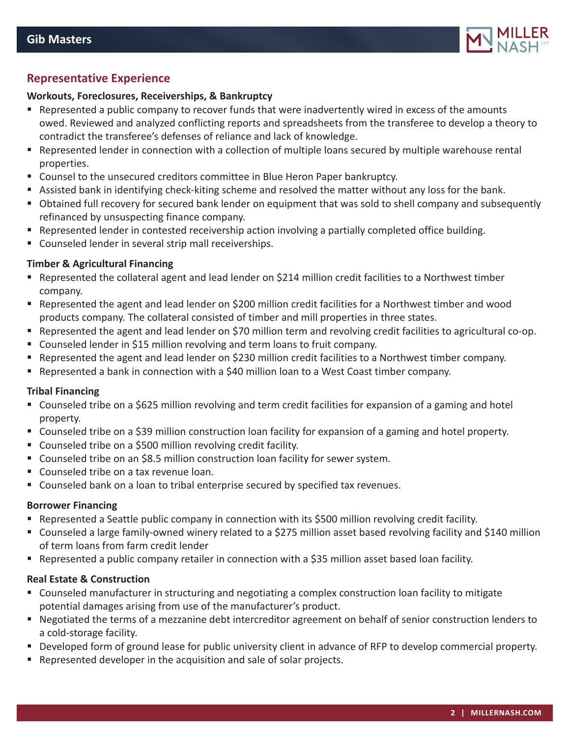

## **Representative Experience**

#### **Workouts, Foreclosures, Receiverships, & Bankruptcy**

- Represented a public company to recover funds that were inadvertently wired in excess of the amounts owed. Reviewed and analyzed conflicting reports and spreadsheets from the transferee to develop a theory to contradict the transferee's defenses of reliance and lack of knowledge.
- Represented lender in connection with a collection of multiple loans secured by multiple warehouse rental properties.
- Counsel to the unsecured creditors committee in Blue Heron Paper bankruptcy.
- Assisted bank in identifying check-kiting scheme and resolved the matter without any loss for the bank.
- Obtained full recovery for secured bank lender on equipment that was sold to shell company and subsequently refinanced by unsuspecting finance company.
- Represented lender in contested receivership action involving a partially completed office building.
- Counseled lender in several strip mall receiverships.

#### **Timber & Agricultural Financing**

- Represented the collateral agent and lead lender on \$214 million credit facilities to a Northwest timber company.
- Represented the agent and lead lender on \$200 million credit facilities for a Northwest timber and wood products company. The collateral consisted of timber and mill properties in three states.
- Represented the agent and lead lender on \$70 million term and revolving credit facilities to agricultural co-op.
- Counseled lender in \$15 million revolving and term loans to fruit company.
- Represented the agent and lead lender on \$230 million credit facilities to a Northwest timber company.
- Represented a bank in connection with a \$40 million loan to a West Coast timber company.

#### **Tribal Financing**

- Counseled tribe on a \$625 million revolving and term credit facilities for expansion of a gaming and hotel property.
- Counseled tribe on a \$39 million construction loan facility for expansion of a gaming and hotel property.
- Counseled tribe on a \$500 million revolving credit facility.
- Counseled tribe on an \$8.5 million construction loan facility for sewer system.
- Counseled tribe on a tax revenue loan.
- **Counseled bank on a loan to tribal enterprise secured by specified tax revenues.**

#### **Borrower Financing**

- Represented a Seattle public company in connection with its \$500 million revolving credit facility.
- Counseled a large family-owned winery related to a \$275 million asset based revolving facility and \$140 million of term loans from farm credit lender
- Represented a public company retailer in connection with a \$35 million asset based loan facility.

#### **Real Estate & Construction**

- Counseled manufacturer in structuring and negotiating a complex construction loan facility to mitigate potential damages arising from use of the manufacturer's product.
- Negotiated the terms of a mezzanine debt intercreditor agreement on behalf of senior construction lenders to a cold-storage facility.
- Developed form of ground lease for public university client in advance of RFP to develop commercial property.
- Represented developer in the acquisition and sale of solar projects.